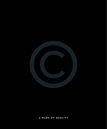

# **a mark of quality**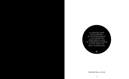A STRIKING NEW DEVELOPMENT OF CONTEMPORARY 1, 2 & 3 BEDROOM APARTMENTS AND 2 & 3 BEDROOM HOUSES, IN THE HEART OF WEST HAMPSTEAD.

 $\odot$ 

**thecentral.co.uk**

 $\overline{\hbox{\sf T}}$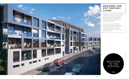

# WELCOME TO THE CENTRAL

 $\odot$ 

Imagine a spacious, contemporary home bathed in natural light, with high specification fixtures and fittings, excellent soundproofing, private outside space and concierge facilities.

Now place it in the heart of West Hampstead, a vibrant and affluent local community, with exceptional public transport links to destinations throughout central London.

# DESIGNED FOR 21ST CENTURY LIVING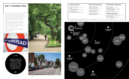

| DISTANCE (MILES)                                                                                                                                                                                    | WALKING TIMES (MINS)                                                                                              | TUBE TRAVEL TIMES (MINS)                                                                                                                |
|-----------------------------------------------------------------------------------------------------------------------------------------------------------------------------------------------------|-------------------------------------------------------------------------------------------------------------------|-----------------------------------------------------------------------------------------------------------------------------------------|
| <b>REGENT'S PARK <math>-</math> 2.5 MILES</b><br>$SOHO - 5$ MILES<br><b>KNIGHTSBRIDGE <math>-4.5</math> MILES</b><br><b>SOUTHBANK <math>-</math></b> 5.5 MILES<br><b>OLYMPIC VILLAGE - 11 MILES</b> | <b>WEST HAMPSTEAD</b><br><b>THAMESLINK RAIL — 1 MINS</b><br><b>WEST HAMPSTEAD</b><br><b>OVERGROUND —</b> $2$ MINS | <b>BOND STREET — 9 MINS</b><br>OXFORD CIRCUS $-$ 15 MINS<br><b>LONDON BRIDGE — 18 MINS</b><br><b>CANARY WHARF <math>-</math></b> 25 MIN |
|                                                                                                                                                                                                     | <b>WEST HAMPSTEAD</b><br><b>UNDERGROUND — 3 MINS</b>                                                              | <b>THAMES LINK (MINS)</b><br>ST PANCRAS/KINGS CROSS - 8MINS<br>$FARRINGDOM - 13 MINS$<br>$CITY$ THAMESLINK $-17$ MINS                   |
| Source: www.the-aa.com/routeplanner.com                                                                                                                                                             | Source: www.walkit.com                                                                                            | Source: www.tfl.com                                                                                                                     |
| The Central, 163 Iverson Road, London Nw6 2RB                                                                                                                                                       |                                                                                                                   |                                                                                                                                         |
| <b>HAMPSTEAD</b><br><b>HEATH</b>                                                                                                                                                                    |                                                                                                                   | $\overline{\phantom{0}}$                                                                                                                |

FROM WEST HAMPSTEAD YOU CAN ACCESS THE WHOLE OF LONDON IN MINUTES

 $\odot$ 

 $(65)$ 



# GET CONNECTED

Living in West Hampstead couldn't be more convenient. Commuting is a breeze, courtesy of London Underground's Jubilee Line, First Capital Connect's Brighton to Bedford service and Overground rail services from Richmond to Stratford.

Together they offer direct connections to St Pancras Station (for Eurostar and mainline services), The City, Canary Wharf and London's West End all in a matter of minutes, as well as to Gatwick Airport and further afield.

A wide choice of bus and cycle routes completes the picture of convenience and accessibility.

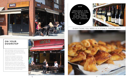West Hampstead used to be known as West End Village, and for good reason. This affluent part of London has a strong local community and its own distinct vibe, full of life and vitality.

The area has long been home to an eclectic mix of artists, scientists and academics. Café society thrives, with myriad bars, restaurants, cafés and independent retailers to suit all tastes.



Whether you're in search of a unique dining experience, a pint of best bitter or simply a pint of milk, you won't need to venture far if you live in West Hampstead.

Eternally popular with young professionals and families, the area is a sound choice for owner occupiers and investors alike.









# everything you need is a stone's throw away

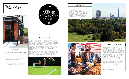The social hub of West Hampstead is West End Lane, where good quality restaurant chains, such as Strada, Banana Tree and Feng Sushi, nestle with the likes of The Wet Fish Café, for sublime seafood, and The Alice House, with its youthful vibe, exposed brickwork and long cocktail list.

Slightly further afield, nearby Hampstead and Maida Vale have a vast selection of bars and restaurants and, of course, London's West End is only minutes away by tube.

# $(1)$ ONE C THE B appeals of WEST H. IS ITS S  $C($ S  $\odot$

Fashionistas can hit Bond Street by tube in a matter of minutes, or head to nearby Hampstead Village for its excellent range of upmarket chains and independent boutiques, whilst Portobello Road Market is a great destination for one-off vintage finds.

Foodies adore West Hampstead Farmers' Market, held on Saturdays outside West Hampstead Thameslink station. This is a great place to pick up delicious artisan bread, fresh fish, organic meat and poultry and seasonal fruit and veg.

A popular haunt of the local literati, West End Lane Books offers terrific browsing opportunities, with guest authors and story-telling sessions for children, whilst nearby the O2 Centre in Finchley Road has good shopping and leisure facilities for those who don't want to jump on a tube into central London.

# MEET THE **NEIGHBOURS**



# food & drink



# health & fitness

Rapt audiences regularly enjoy a host of new plays at the internationally respected Hampstead Theatre, whilst Tricycle Theatre in nearby Kilburn offers an eclectic mix of live performances and movies. The Everyman Cinema in nearby Hampstead Village and the Vue multiplex at the O2 Centre are also handy destinations for catching the latest film releases.





Whether you're looking to drop a dress size or hone that perfect six pack, The Gym, Movers & Shapers and Gloves Boxing Club, all in West Hampstead, are worth checking out. There's also a branch of Virgin Active in Swiss Cottage and Bannatyne's health club in nearby Maida Vale.

Cumberland Lawn Tennis Club and Hampstead Cricket Club in Alvanley Gardens have a gym, squash courts and an active bridge scene, in addition to excellent tennis and cricket facilities.

Last but definitely not least, nearby Hampstead Heath, with its 790 acres of open space to jog or stroll in, panoramic views over Central London and quirky swimming ponds is guaranteed to satisfy fresh air fanatics large and small.



# **LEISURE**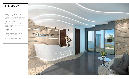Step through the secure steel and glass entrance into the spacious interior-designed lobby, featuring a waiting area furnished in contemporary style and concierge facilities. THE LOBBY<br>
Step through the secure stee<br>
and glass entrance into the<br>
spacious interior-designed Ic<br>
featuring a waiting area furni<br>
in contemporary style and<br>
concierge facilities.<br>
From here, lifts (or stairs if yo<br>
pref

From here, lifts (or stairs if you prefer) take you to all floors of the building.

## Specifications

- Solid core powder-coated steel and glass entrance doors
- Interior-designed communal lobby, with concierge facilities
- Waiting area in lobby
- Lift to all floors
- 

For full specifications go to page 23

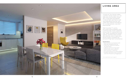

A home at The Central makes a perfect retreat where you can relax and unwind after a busy day. Living areas are bathed in natural light and feature real oak engineered flooring, with under floor heating throughout, for a contemporary, cosy and practical feel.

Wall-mounted TV points, pre-wired ceiling speakers and a central audio visual cupboard ensure that AV requirements are met, whilst recessed low energy lighting, stainless steel sockets and switches, and a video entry phone system complete the picture of high tech convenience.

## Specifications

- Matt emulsion to all internal walls
- Real oak engineered flooring
- Under floor heating throughout the apartments
- Lighting control to living rooms
- Central audio visual cupboard
- Wall-mounted TV positions
- Pre-wired positions for ceiling speakers
- Handless high-gloss finish to kitchen units from Pronorm by Poggenpohl

# LIVING ARE A

For full specifications go to page 23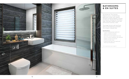

All homes at The Central feature luxury contemporary bathroom suites with quality fittings including Majestic shower enclosures, Hansgrohe Monobloc taps, Zehnder heated towel rails and Duravit sanitary ware.

The large format wall and floor tiles by Porcelanosa complete the modern relaxed feel.

# **BATHROOMS** & EN SUITES

## Specifications

- Luxury contemporary bathroom suites in white, by Duravit
- Wall-hung WC by Duravit
- Zehnder chrome heated towel rails
- Mirror-fronted integrated wall cabinets
- Majestic shower enclosures
- Slimline shower trays
- Large format tiles to all walls and floors by Porcelanosa

For full specifications go to page 23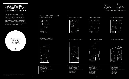ground floor raised ground floor

## apartment 4 upper



Bed 1: 2.7m x 5.6m Bed 2: 2.8m x 4.3m Terrace: 8.0 sqm

Living / Dining / Kitchen: 5.7m x 8.0m

**APARTMENT 4** Ground / Raised Ground Duplex 3 Beds / 3 Bathrooms 109.2sqm (1,175 sqft) Living / Dining / Kitchen: 7.0m x 6.5m Bed 1: 3.1m x 4.3m Bed 2: 3.8m x 2.8m Bed 3: 2.7m x 3.0m Balcony: 4.5 sqm Terrace: 7.0 sqm

Bed 1: 2.6m x 4.7m Bed 2: 2.8m x 3.5m Bed 3: 2.6m x 3.1m Terrace: 13 sqm







3

 $\overline{1}$  2

**TERRACE** 



F

 $\leftarrow$ 

IH







The Central comprises 23 high specification luxury apartments spanning five floors. Whether you are in search of a one-bedroom pied-à-terre, a larger two-bedroom flat or a spacious three-bedroom duplex apartment, the development has something for everyone.

# floor plans: GROUnd/raised ground DUPLEX









Apartment floor plans are indicative of the intended interior layouts but are subject to architectural finalisation. Room dimensions and total areas stated are approximate and should be used as a guide only.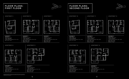# floor plans: FIRST FLOOR

# floor plans: SECOND FLOOR



## apartment 5 apartment 6 apartment 7

**APARTMENT 5** First floor 1 Bed / 1 Bathroom 45 sqm (484 sqft) Living / Dining / Kitchen: 5.7m x 4.7m Bed 1: 3.6m x 3.0m



**APARTMENT 6** First floor 2 Beds / 2 Bathrooms 71 sqm (764 sqft) Living / Dining / Kitchen: 3.9m x 8.1m Bed 1: 2.8m x 4.2m Bed 2: 2.9m x 3.0m Balcony: 7.0 sqm



**APARTMENT 7** First floor 2 Beds / 2 Bathrooms 69 sqm (743 sqft) Living / Dining / Kitchen: 3.6m x 8.1m Bed 1: 3.2m x 4.2m Bed 2: 2.6m x 3.1m Balcony: 7.0 sqm

## APARTMENT 8 apaRTMENT 9



| <b>APARTMENT 9</b>                     |
|----------------------------------------|
| First floor                            |
| 2 Beds / 2 Bathrooms                   |
| 71 sqm (764 sqft)                      |
| Living / Dining / Kitchen: 3.7m x 7.1m |
| Bed 1: 4.0m x 2.9m                     |
| Bed 2: 2.9m x 3.0m                     |
| Balcony: 6.7 sqm                       |



## **APARTMENT 8**

First floor 2 Beds / 2 Bathrooms 72 sqm (775 sqft) Living / Dining / Kitchen: 3.4m x 8.1m Bed 1: 2.8m x 4.2m Bed 2: 3.3m x 3.1m Balcony: 9.0 sqm





1

| 1ENT 10                       | <b>APARTMENT</b> |
|-------------------------------|------------------|
| floor                         | Second floor     |
| Bathroom                      | 2 Beds / 2 B     |
| (495 saft)                    | 72 sam (775      |
| Dining / Kitchen: 5.7m x 4.8m | Living / Dinii   |
| .7m x 3.0m                    | Bed 1: 2.8m >    |
|                               | Bed 2: 2.9m      |
|                               | Balcony: 7.0     |

2 Bathrooms 775 sqft) ining / Kitchen: 4.0m x 8.2m  $m \times 4.3m$  $km \times 3.0m$  $70$  sqm

**APARTMENT** 



1 2 BALCONY







Apartment floor plans are indicative of the intended interior layouts but are subject to architectural finalisation. Room dimensions and total areas stated are approximate and should be used as a guide only.

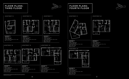1

BALCONY

 $\Box$ 

┕

**TTITT** 

2

1

BALCONY







# floor plans: THIRD FLOOR

# floor plans: FOURTH FLOOR

**APARTMENT 23** Fourth floor 2 Beds / 2 Bathrooms 76 sqm (818 sqft) Living / Dining / Kitchen: 5.3m x 4.8m Bed 1: 4.1m x 3.6m Bed 2: 2.9m x 3.5m Balcony: 6.5 sqm

Fourth floor 2 Beds / 2 Bathrooms 76 sqm (818 sqft) Living / Dining / Kitchen: 3.7m x 7.1m Bed 1: 2.9m x 4.9m Bed 2: 4.0m x 3.6m Balcony: 6.5 sqm

**APARTMENT 19** Third floor 2 Beds / 2 Bathrooms 71 sqm (764 sqft) Living / Dining / Kitchen: 3.7m x 7.1m Bed 1: 4.0m x 2.9m Bed 2: 2.9m x 3.0m Balcony: 6.5 sqm

**APARTMENT 20** Third floor

 $\bigg\}$ 

2 Beds / 2 Bathrooms 76 sqm (818 sqft) Living / Dining / Kitchen: 5.3m x 4.8m Bed 1: 4.1m x 3.6m Bed 2: 2.9m x 3.5m Balcony: 6.5 sqm

**APARTMENT 18** Third floor 2 Beds / 2 Bathrooms

1 1 1 2

73 sqm (786 sqft) Living / Dining / Kitchen: 3.4m x 8.2m Bed 1: 3.4m x 4.3m Bed 2: 3.3m x 3.2m Balcony: 9.0 sqm

BALCONY





Apartment floor plans are indicative of the intended interior layouts but are subject to architectural finalisation. Room dimensions and total areas stated are approximate and should be used as a guide only.

IT

 $\diamondsuit$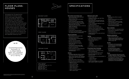# FLOOR PLANS: **HOUSES**

Alongside the 23 apartments stand three 3-storey houses which have been designed to exacting standards. Each luxury two bedroom, two-bathroom townhouse features a spacious open plan kitchen/dining/living area on the ground floor and a stunning master suite on the top floor, with a large double bedroom, dressing room, en suite bathroom and private balcony. The flexible rooms on the first floor can either be used as two further bedrooms or as a bedroom and separate drawing room.

## **Main entrance and common areas**

- Handleless high-gloss finish to kitchen units from Pronorm by Poggenpohl
- 20mm stone worktops with integrated drainers and under-mounted stainless steel sinks
- Glass splash backs to hob area
- Stainless steel mixer tap by Blanco
- Integrated kitchen appliances include:<br>• Miele microwaves<br>• Miele Induction hobs<br>• Miele electric ovens
- 
- 
- 
- 
- 
- 
- 
- Solid core powder-coated steel and glass entrance doors
- Quality stainless steel ironmongery to apartment doors
- Interior-designed communal lobby with 24-hour concierge service desk
- Secure individual powder-coated and galvanised steel mail boxes
- Large format porcelain tiles to communal lobby and walkways
- Waiting area in lobby
- Lift to all floors
- Landscaped communal gardens
- All internal and external areas constructed to a superior level of soundproofing

### **Internal specification**

- Matt emulsion to all internal walls
- Veneered internal doors — Decorated exterior entrance doors
- to individual plots
- Stainless steel level handles
- Real oak engineered flooring
- Under floor heating throughout the apartments
- Contemporary-style square edge skirting and architraves, decorated
- Carpet to all bedrooms
- Fitted wardrobes to master bedrooms
- Centralised boiler system to apartment block

### **Kitchens**

### **Bathrooms and en suites**

— Hansgrohe Monobloc taps, bath fillers

- 
- Luxury contemporary bathroom suites
	-
	-
	-
	-
	-
	-
	-
	-

- Duravit vanity units
- and shower valves — Thermostatically-controlled fixed and
- hand-held chrome showers and mixers of good quality
- in white, by Duravit
	- Wall-hung WC by Duravit — Gerberit cistern and flush plate
	- Zehnder chrome heated towel rails
	- Mirror-fronted integrated wall cabinets
	- Majestic shower enclosures
	- Slimline shower trays
	- Large format tiles to all walls and floors by Porcelanosa

- Central audio visual cupboard
	- Wall-mounted TV positions in living
	- rooms and bedrooms
	-
- heating control
	- living rooms Master bedrooms
		- Master en suites
		-
	-
- 
- 
- SMEG fridge freezers
- SMEG dishwashers
- Blanco concealed extractors
- NEFF washer dryers



### **Lighting**

- Lighting control to living rooms
- Low energy lighting throughout
	- Recessed downlights to: living room
	- kitchen
	-
	- hallways bathrooms
- Low energy pendants to bedrooms

### **AV and Smart Home Technology**

- 
- Pre-wired curtain and blind control — Pre-wired integrated under floor
- Pre-wired positions for ceiling speakers in:
- Audio visual packages are available upon request, subject to quotation

## **Electrics**

- Wired for home office in second bedrooms
- Stainless steel switches and socket plates to all rooms
- Telephone and TV points to living room and bedrooms in white finish
- Video entry phone system
- Hard wired and integrated smoke and heat detection system

## **Green credentials**

- Built to Code 4 for sustainable homes
- Recycling bins integrated in kitchens
- Central bike store
- Low energy lighting throughout

### **Windows and balconies**

- Steel and glass balconies
- Highly secure full height powder coated, double glazed, metal framed windows with toughened glass and timber window sills

## **Security**

- All elements of the development will comply with current building and fire regulations and relevant British Standards
- All apartments are covered by 10-year building guarantee insurance against defects in construction by Premier Guarantee

### **Tenure**

- 125 year leasehold with ground rents of £350 1 bedroom, £450 2 bedrooms and £550 3 bedrooms payable annually
- A management company will be appointed and each apartment will contribute to the care, upkeep and maintenance of the development

## ground floor



## first floor

## second floor

2 Beds / 2 Bathrooms 127 sqm (1378 sqft) Living / Dining / Kitchen: 7.2m x 4.7m Living room: 4.9m x 3.7m Bed 1: 4.6m x 3.7m Bathroom 1: 1.8m x 2.9m Bed 2: 3.8m x 2.8m Bathroom 2: 2.0m x 2.5m

# SPECIFICAT









# Apartment floor plans are indicative of the intended interior layouts but are subject to architectural finalisation. Room dimensions and total areas stated are approximate and should be used as a guide only.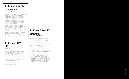Premier Guarantee is one of the UK's leading providers of Structural Warranty and Insurance Services and since 1997 have been providing our clients with some of the most innovative, competitively priced and above all secure Structural Warranty solutions available on the market.

Having arranged cover for over quarter of a million housing units across the UK and Europe, Premier Guarantee has become the warranty provider of choice for some of the country's leading property developers.

# T HE WARR ANTY premier quarantee

Premier Guarantee Surveyors is our dedicated Building Control and Risk Management Survey provider, giving customers expert advice, information and support on key issues affecting the industry. Premier Guarantee Surveyors has one of the UK's largest national networks of surveyors and provides Building Control services to some of the UK's leading property developers.



# THE DEVELOPE REICHMANN PROPERTIES PLC

Reichmann Properties PLC is a multi-faceted property business with a superb track record for delivering quality residential and mixed-use schemes across London and the South of England for over 20 years.

Our reputation has been built on an unwavering attention to detail, delivering developments that not only fulfil but exceed clients' expectations.

We are involved in a diverse range of property-related projects, from residential development to acting as the landlord of an extensive collection of commercial units. Our expanding investment portfolio is currently worth approximately £100 million.

Recent residential schemes by Reichmann Properties include developments in Clapham, Islington, Finchley, Kentish Town, Whitechapel and Queen's Park, in addition to The Central in West Hampstead.

All new Premier Guarantee Policies we issue are insured by AmTrust Europe Limited. AmTrust Europe Limited is part of the AmTrust Group, a worldwide insurer, who amongst other classes of insurance specialise in Building Warranty risks. Their security rating is excellent, having received an 'A' rating for financial strength from A. M. Best.

Further information can be found on their websites www.AmTrust Europe.com and www.AmTrustGroup.com.

Design: Energy Design Studio